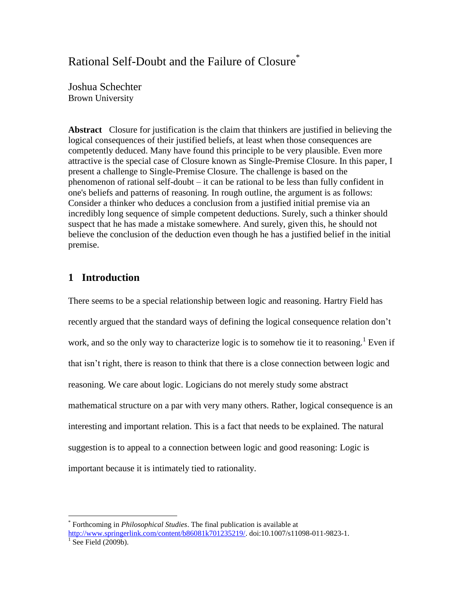# Rational Self-Doubt and the Failure of Closure<sup>\*</sup>

Joshua Schechter Brown University

**Abstract** Closure for justification is the claim that thinkers are justified in believing the logical consequences of their justified beliefs, at least when those consequences are competently deduced. Many have found this principle to be very plausible. Even more attractive is the special case of Closure known as Single-Premise Closure. In this paper, I present a challenge to Single-Premise Closure. The challenge is based on the phenomenon of rational self-doubt – it can be rational to be less than fully confident in one's beliefs and patterns of reasoning. In rough outline, the argument is as follows: Consider a thinker who deduces a conclusion from a justified initial premise via an incredibly long sequence of simple competent deductions. Surely, such a thinker should suspect that he has made a mistake somewhere. And surely, given this, he should not believe the conclusion of the deduction even though he has a justified belief in the initial premise.

# **1 Introduction**

There seems to be a special relationship between logic and reasoning. Hartry Field has recently argued that the standard ways of defining the logical consequence relation don't work, and so the only way to characterize logic is to somehow tie it to reasoning.<sup>1</sup> Even if that isn't right, there is reason to think that there is a close connection between logic and reasoning. We care about logic. Logicians do not merely study some abstract mathematical structure on a par with very many others. Rather, logical consequence is an interesting and important relation. This is a fact that needs to be explained. The natural suggestion is to appeal to a connection between logic and good reasoning: Logic is important because it is intimately tied to rationality.

<sup>\*</sup> Forthcoming in *Philosophical Studies*. The final publication is available at [http://www.springerlink.com/content/b86081k701235219/.](http://www.springerlink.com/content/b86081k701235219/) doi:10.1007/s11098-011-9823-1.

 $\frac{1}{1}$  See Field (2009b).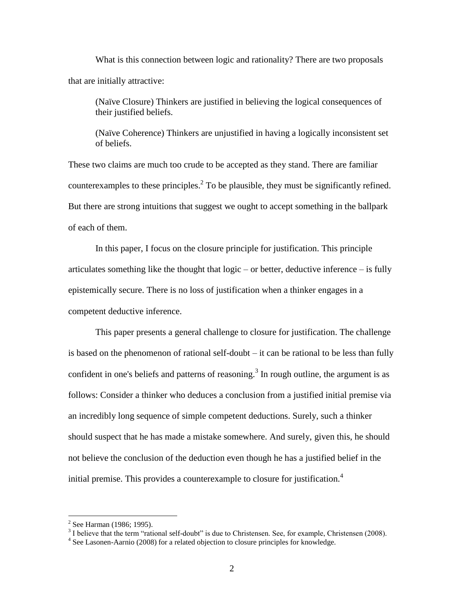What is this connection between logic and rationality? There are two proposals that are initially attractive:

(Naïve Closure) Thinkers are justified in believing the logical consequences of their justified beliefs.

(Naïve Coherence) Thinkers are unjustified in having a logically inconsistent set of beliefs.

These two claims are much too crude to be accepted as they stand. There are familiar counterexamples to these principles.<sup>2</sup> To be plausible, they must be significantly refined. But there are strong intuitions that suggest we ought to accept something in the ballpark of each of them.

In this paper, I focus on the closure principle for justification. This principle articulates something like the thought that logic – or better, deductive inference – is fully epistemically secure. There is no loss of justification when a thinker engages in a competent deductive inference.

This paper presents a general challenge to closure for justification. The challenge is based on the phenomenon of rational self-doubt – it can be rational to be less than fully confident in one's beliefs and patterns of reasoning.<sup>3</sup> In rough outline, the argument is as follows: Consider a thinker who deduces a conclusion from a justified initial premise via an incredibly long sequence of simple competent deductions. Surely, such a thinker should suspect that he has made a mistake somewhere. And surely, given this, he should not believe the conclusion of the deduction even though he has a justified belief in the initial premise. This provides a counterexample to closure for justification.<sup>4</sup>

<sup>&</sup>lt;sup>2</sup> See Harman (1986; 1995).

 $3$  I believe that the term "rational self-doubt" is due to Christensen. See, for example, Christensen (2008).

<sup>&</sup>lt;sup>4</sup> See Lasonen-Aarnio (2008) for a related objection to closure principles for knowledge.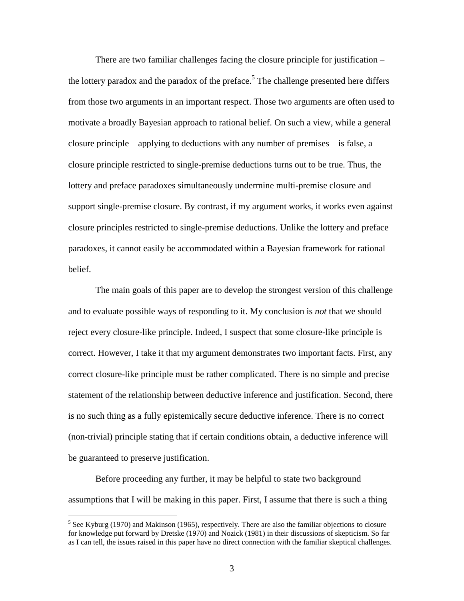There are two familiar challenges facing the closure principle for justification – the lottery paradox and the paradox of the preface.<sup>5</sup> The challenge presented here differs from those two arguments in an important respect. Those two arguments are often used to motivate a broadly Bayesian approach to rational belief. On such a view, while a general closure principle – applying to deductions with any number of premises – is false, a closure principle restricted to single-premise deductions turns out to be true. Thus, the lottery and preface paradoxes simultaneously undermine multi-premise closure and support single-premise closure. By contrast, if my argument works, it works even against closure principles restricted to single-premise deductions. Unlike the lottery and preface paradoxes, it cannot easily be accommodated within a Bayesian framework for rational belief.

The main goals of this paper are to develop the strongest version of this challenge and to evaluate possible ways of responding to it. My conclusion is *not* that we should reject every closure-like principle. Indeed, I suspect that some closure-like principle is correct. However, I take it that my argument demonstrates two important facts. First, any correct closure-like principle must be rather complicated. There is no simple and precise statement of the relationship between deductive inference and justification. Second, there is no such thing as a fully epistemically secure deductive inference. There is no correct (non-trivial) principle stating that if certain conditions obtain, a deductive inference will be guaranteed to preserve justification.

Before proceeding any further, it may be helpful to state two background assumptions that I will be making in this paper. First, I assume that there is such a thing

<sup>&</sup>lt;sup>5</sup> See Kyburg (1970) and Makinson (1965), respectively. There are also the familiar objections to closure for knowledge put forward by Dretske (1970) and Nozick (1981) in their discussions of skepticism. So far as I can tell, the issues raised in this paper have no direct connection with the familiar skeptical challenges.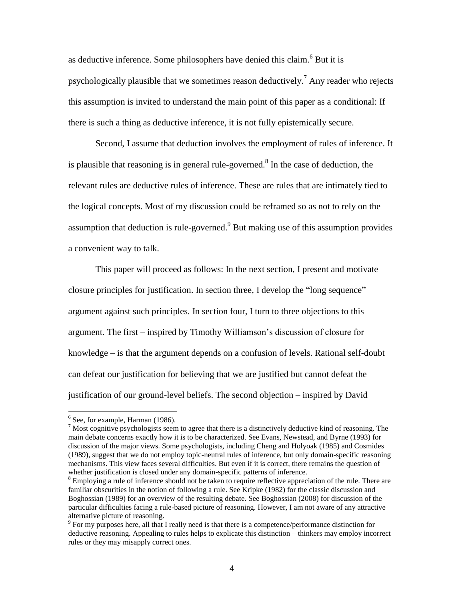as deductive inference. Some philosophers have denied this claim.<sup>6</sup> But it is psychologically plausible that we sometimes reason deductively.<sup>7</sup> Any reader who rejects this assumption is invited to understand the main point of this paper as a conditional: If there is such a thing as deductive inference, it is not fully epistemically secure.

Second, I assume that deduction involves the employment of rules of inference. It is plausible that reasoning is in general rule-governed.<sup>8</sup> In the case of deduction, the relevant rules are deductive rules of inference. These are rules that are intimately tied to the logical concepts. Most of my discussion could be reframed so as not to rely on the assumption that deduction is rule-governed. $9$  But making use of this assumption provides a convenient way to talk.

This paper will proceed as follows: In the next section, I present and motivate closure principles for justification. In section three, I develop the "long sequence" argument against such principles. In section four, I turn to three objections to this argument. The first – inspired by Timothy Williamson's discussion of closure for knowledge – is that the argument depends on a confusion of levels. Rational self-doubt can defeat our justification for believing that we are justified but cannot defeat the justification of our ground-level beliefs. The second objection – inspired by David

<sup>&</sup>lt;sup>6</sup> See, for example, Harman (1986).

 $7$  Most cognitive psychologists seem to agree that there is a distinctively deductive kind of reasoning. The main debate concerns exactly how it is to be characterized. See Evans, Newstead, and Byrne (1993) for discussion of the major views. Some psychologists, including Cheng and Holyoak (1985) and Cosmides (1989), suggest that we do not employ topic-neutral rules of inference, but only domain-specific reasoning mechanisms. This view faces several difficulties. But even if it is correct, there remains the question of whether justification is closed under any domain-specific patterns of inference.

<sup>&</sup>lt;sup>8</sup> Employing a rule of inference should not be taken to require reflective appreciation of the rule. There are familiar obscurities in the notion of following a rule. See Kripke (1982) for the classic discussion and Boghossian (1989) for an overview of the resulting debate. See Boghossian (2008) for discussion of the particular difficulties facing a rule-based picture of reasoning. However, I am not aware of any attractive alternative picture of reasoning.

<sup>&</sup>lt;sup>9</sup> For my purposes here, all that I really need is that there is a competence/performance distinction for deductive reasoning. Appealing to rules helps to explicate this distinction – thinkers may employ incorrect rules or they may misapply correct ones.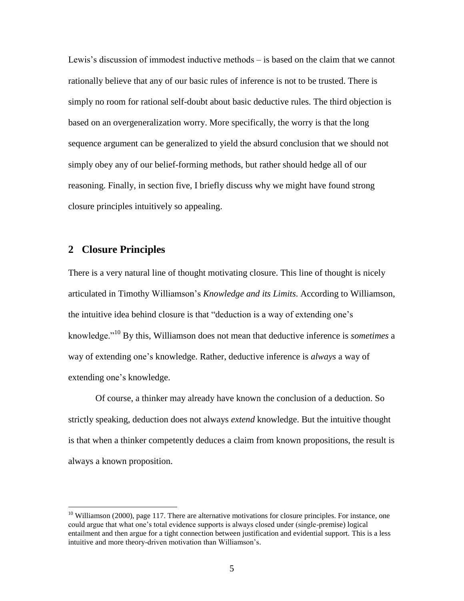Lewis's discussion of immodest inductive methods – is based on the claim that we cannot rationally believe that any of our basic rules of inference is not to be trusted. There is simply no room for rational self-doubt about basic deductive rules. The third objection is based on an overgeneralization worry. More specifically, the worry is that the long sequence argument can be generalized to yield the absurd conclusion that we should not simply obey any of our belief-forming methods, but rather should hedge all of our reasoning. Finally, in section five, I briefly discuss why we might have found strong closure principles intuitively so appealing.

#### **2 Closure Principles**

 $\overline{a}$ 

There is a very natural line of thought motivating closure. This line of thought is nicely articulated in Timothy Williamson's *Knowledge and its Limits*. According to Williamson, the intuitive idea behind closure is that "deduction is a way of extending one's knowledge."<sup>10</sup> By this, Williamson does not mean that deductive inference is *sometimes* a way of extending one's knowledge. Rather, deductive inference is *always* a way of extending one's knowledge.

Of course, a thinker may already have known the conclusion of a deduction. So strictly speaking, deduction does not always *extend* knowledge. But the intuitive thought is that when a thinker competently deduces a claim from known propositions, the result is always a known proposition.

 $10$  Williamson (2000), page 117. There are alternative motivations for closure principles. For instance, one could argue that what one's total evidence supports is always closed under (single-premise) logical entailment and then argue for a tight connection between justification and evidential support. This is a less intuitive and more theory-driven motivation than Williamson's.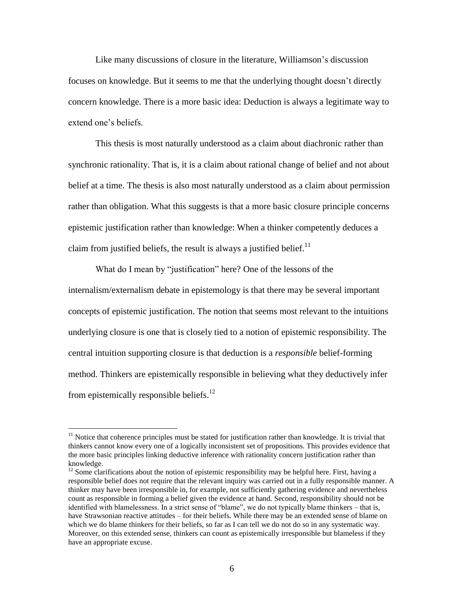Like many discussions of closure in the literature, Williamson's discussion focuses on knowledge. But it seems to me that the underlying thought doesn't directly concern knowledge. There is a more basic idea: Deduction is always a legitimate way to extend one's beliefs.

This thesis is most naturally understood as a claim about diachronic rather than synchronic rationality. That is, it is a claim about rational change of belief and not about belief at a time. The thesis is also most naturally understood as a claim about permission rather than obligation. What this suggests is that a more basic closure principle concerns epistemic justification rather than knowledge: When a thinker competently deduces a claim from justified beliefs, the result is always a justified belief.<sup>11</sup>

What do I mean by "justification" here? One of the lessons of the internalism/externalism debate in epistemology is that there may be several important concepts of epistemic justification. The notion that seems most relevant to the intuitions underlying closure is one that is closely tied to a notion of epistemic responsibility. The central intuition supporting closure is that deduction is a *responsible* belief-forming method. Thinkers are epistemically responsible in believing what they deductively infer from epistemically responsible beliefs.<sup>12</sup>

<sup>&</sup>lt;sup>11</sup> Notice that coherence principles must be stated for justification rather than knowledge. It is trivial that thinkers cannot know every one of a logically inconsistent set of propositions. This provides evidence that the more basic principles linking deductive inference with rationality concern justification rather than knowledge.

 $12$  Some clarifications about the notion of epistemic responsibility may be helpful here. First, having a responsible belief does not require that the relevant inquiry was carried out in a fully responsible manner. A thinker may have been irresponsible in, for example, not sufficiently gathering evidence and nevertheless count as responsible in forming a belief given the evidence at hand. Second, responsibility should not be identified with blamelessness. In a strict sense of "blame", we do not typically blame thinkers – that is, have Strawsonian reactive attitudes – for their beliefs. While there may be an extended sense of blame on which we do blame thinkers for their beliefs, so far as I can tell we do not do so in any systematic way. Moreover, on this extended sense, thinkers can count as epistemically irresponsible but blameless if they have an appropriate excuse.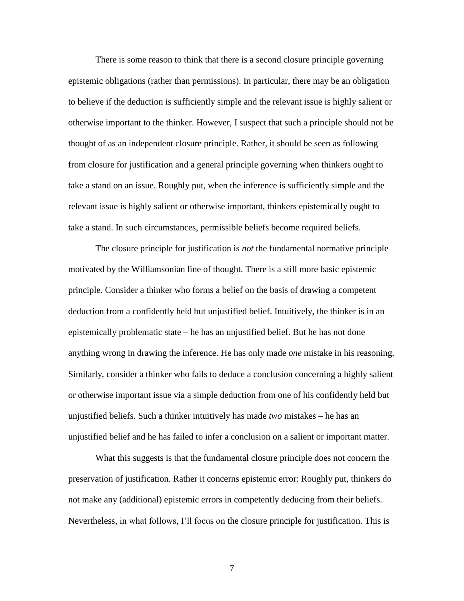There is some reason to think that there is a second closure principle governing epistemic obligations (rather than permissions). In particular, there may be an obligation to believe if the deduction is sufficiently simple and the relevant issue is highly salient or otherwise important to the thinker. However, I suspect that such a principle should not be thought of as an independent closure principle. Rather, it should be seen as following from closure for justification and a general principle governing when thinkers ought to take a stand on an issue. Roughly put, when the inference is sufficiently simple and the relevant issue is highly salient or otherwise important, thinkers epistemically ought to take a stand. In such circumstances, permissible beliefs become required beliefs.

The closure principle for justification is *not* the fundamental normative principle motivated by the Williamsonian line of thought. There is a still more basic epistemic principle. Consider a thinker who forms a belief on the basis of drawing a competent deduction from a confidently held but unjustified belief. Intuitively, the thinker is in an epistemically problematic state – he has an unjustified belief. But he has not done anything wrong in drawing the inference. He has only made *one* mistake in his reasoning. Similarly, consider a thinker who fails to deduce a conclusion concerning a highly salient or otherwise important issue via a simple deduction from one of his confidently held but unjustified beliefs. Such a thinker intuitively has made *two* mistakes – he has an unjustified belief and he has failed to infer a conclusion on a salient or important matter.

What this suggests is that the fundamental closure principle does not concern the preservation of justification. Rather it concerns epistemic error: Roughly put, thinkers do not make any (additional) epistemic errors in competently deducing from their beliefs. Nevertheless, in what follows, I'll focus on the closure principle for justification. This is

7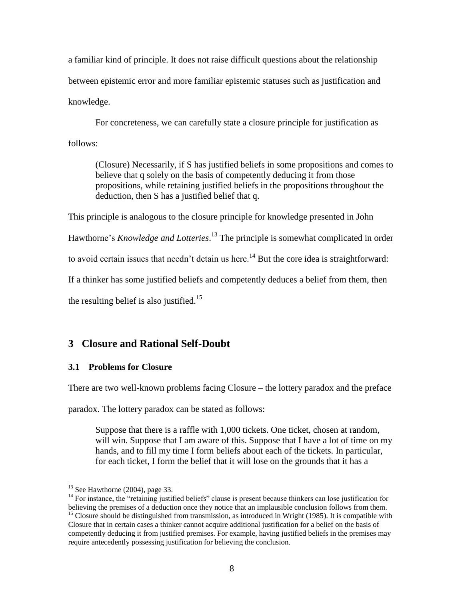a familiar kind of principle. It does not raise difficult questions about the relationship between epistemic error and more familiar epistemic statuses such as justification and knowledge.

For concreteness, we can carefully state a closure principle for justification as follows:

(Closure) Necessarily, if S has justified beliefs in some propositions and comes to believe that q solely on the basis of competently deducing it from those propositions, while retaining justified beliefs in the propositions throughout the deduction, then S has a justified belief that q.

This principle is analogous to the closure principle for knowledge presented in John

Hawthorne's *Knowledge and Lotteries*. <sup>13</sup> The principle is somewhat complicated in order

to avoid certain issues that needn't detain us here.<sup>14</sup> But the core idea is straightforward:

If a thinker has some justified beliefs and competently deduces a belief from them, then

the resulting belief is also justified.<sup>15</sup>

# **3 Closure and Rational Self-Doubt**

### **3.1 Problems for Closure**

There are two well-known problems facing Closure – the lottery paradox and the preface

paradox. The lottery paradox can be stated as follows:

Suppose that there is a raffle with 1,000 tickets. One ticket, chosen at random, will win. Suppose that I am aware of this. Suppose that I have a lot of time on my hands, and to fill my time I form beliefs about each of the tickets. In particular, for each ticket, I form the belief that it will lose on the grounds that it has a

 $13$  See Hawthorne (2004), page 33.

<sup>&</sup>lt;sup>14</sup> For instance, the "retaining justified beliefs" clause is present because thinkers can lose justification for believing the premises of a deduction once they notice that an implausible conclusion follows from them.

<sup>&</sup>lt;sup>15</sup> Closure should be distinguished from transmission, as introduced in Wright (1985). It is compatible with Closure that in certain cases a thinker cannot acquire additional justification for a belief on the basis of competently deducing it from justified premises. For example, having justified beliefs in the premises may require antecedently possessing justification for believing the conclusion.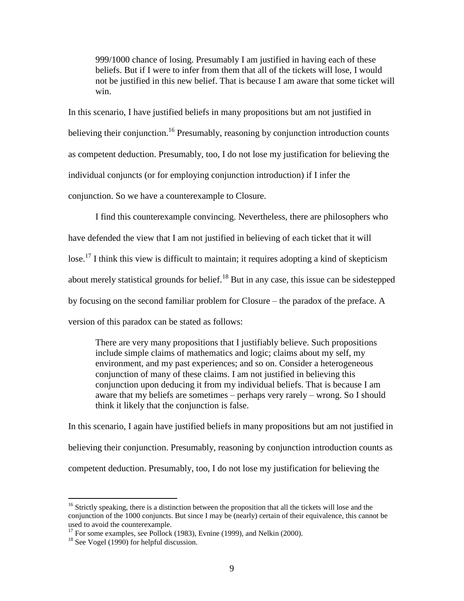999/1000 chance of losing. Presumably I am justified in having each of these beliefs. But if I were to infer from them that all of the tickets will lose, I would not be justified in this new belief. That is because I am aware that some ticket will win.

In this scenario, I have justified beliefs in many propositions but am not justified in believing their conjunction.<sup>16</sup> Presumably, reasoning by conjunction introduction counts as competent deduction. Presumably, too, I do not lose my justification for believing the individual conjuncts (or for employing conjunction introduction) if I infer the conjunction. So we have a counterexample to Closure.

I find this counterexample convincing. Nevertheless, there are philosophers who have defended the view that I am not justified in believing of each ticket that it will lose.<sup>17</sup> I think this view is difficult to maintain; it requires adopting a kind of skepticism about merely statistical grounds for belief.<sup>18</sup> But in any case, this issue can be sidestepped by focusing on the second familiar problem for Closure – the paradox of the preface. A version of this paradox can be stated as follows:

There are very many propositions that I justifiably believe. Such propositions include simple claims of mathematics and logic; claims about my self, my environment, and my past experiences; and so on. Consider a heterogeneous conjunction of many of these claims. I am not justified in believing this conjunction upon deducing it from my individual beliefs. That is because I am aware that my beliefs are sometimes – perhaps very rarely – wrong. So I should think it likely that the conjunction is false.

In this scenario, I again have justified beliefs in many propositions but am not justified in believing their conjunction. Presumably, reasoning by conjunction introduction counts as competent deduction. Presumably, too, I do not lose my justification for believing the

<sup>&</sup>lt;sup>16</sup> Strictly speaking, there is a distinction between the proposition that all the tickets will lose and the conjunction of the 1000 conjuncts. But since I may be (nearly) certain of their equivalence, this cannot be used to avoid the counterexample.

 $17$  For some examples, see Pollock (1983), Evnine (1999), and Nelkin (2000).

 $18$  See Vogel (1990) for helpful discussion.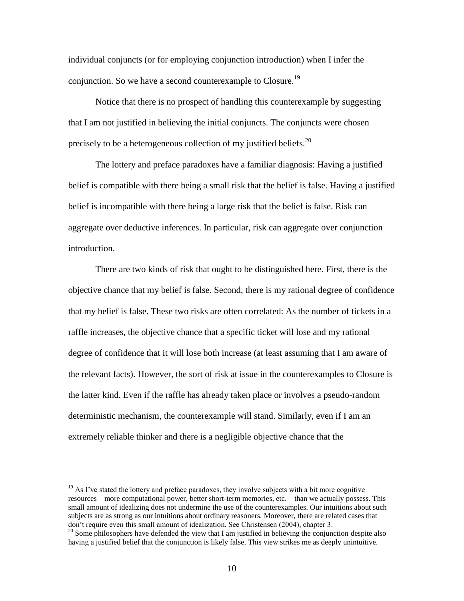individual conjuncts (or for employing conjunction introduction) when I infer the conjunction. So we have a second counterexample to Closure.<sup>19</sup>

Notice that there is no prospect of handling this counterexample by suggesting that I am not justified in believing the initial conjuncts. The conjuncts were chosen precisely to be a heterogeneous collection of my justified beliefs.<sup>20</sup>

The lottery and preface paradoxes have a familiar diagnosis: Having a justified belief is compatible with there being a small risk that the belief is false. Having a justified belief is incompatible with there being a large risk that the belief is false. Risk can aggregate over deductive inferences. In particular, risk can aggregate over conjunction introduction.

There are two kinds of risk that ought to be distinguished here. First, there is the objective chance that my belief is false. Second, there is my rational degree of confidence that my belief is false. These two risks are often correlated: As the number of tickets in a raffle increases, the objective chance that a specific ticket will lose and my rational degree of confidence that it will lose both increase (at least assuming that I am aware of the relevant facts). However, the sort of risk at issue in the counterexamples to Closure is the latter kind. Even if the raffle has already taken place or involves a pseudo-random deterministic mechanism, the counterexample will stand. Similarly, even if I am an extremely reliable thinker and there is a negligible objective chance that the

 $19$  As I've stated the lottery and preface paradoxes, they involve subjects with a bit more cognitive resources – more computational power, better short-term memories, etc. – than we actually possess. This small amount of idealizing does not undermine the use of the counterexamples. Our intuitions about such subjects are as strong as our intuitions about ordinary reasoners. Moreover, there are related cases that don't require even this small amount of idealization. See Christensen (2004), chapter 3.

 $20$  Some philosophers have defended the view that I am justified in believing the conjunction despite also having a justified belief that the conjunction is likely false. This view strikes me as deeply unintuitive.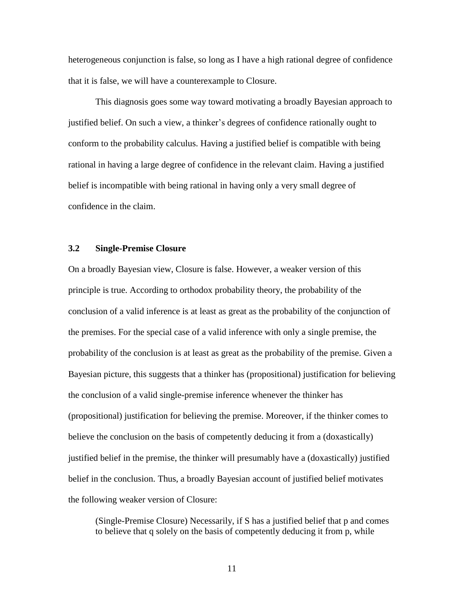heterogeneous conjunction is false, so long as I have a high rational degree of confidence that it is false, we will have a counterexample to Closure.

This diagnosis goes some way toward motivating a broadly Bayesian approach to justified belief. On such a view, a thinker's degrees of confidence rationally ought to conform to the probability calculus. Having a justified belief is compatible with being rational in having a large degree of confidence in the relevant claim. Having a justified belief is incompatible with being rational in having only a very small degree of confidence in the claim.

#### **3.2 Single-Premise Closure**

On a broadly Bayesian view, Closure is false. However, a weaker version of this principle is true. According to orthodox probability theory, the probability of the conclusion of a valid inference is at least as great as the probability of the conjunction of the premises. For the special case of a valid inference with only a single premise, the probability of the conclusion is at least as great as the probability of the premise. Given a Bayesian picture, this suggests that a thinker has (propositional) justification for believing the conclusion of a valid single-premise inference whenever the thinker has (propositional) justification for believing the premise. Moreover, if the thinker comes to believe the conclusion on the basis of competently deducing it from a (doxastically) justified belief in the premise, the thinker will presumably have a (doxastically) justified belief in the conclusion. Thus, a broadly Bayesian account of justified belief motivates the following weaker version of Closure:

(Single-Premise Closure) Necessarily, if S has a justified belief that p and comes to believe that q solely on the basis of competently deducing it from p, while

11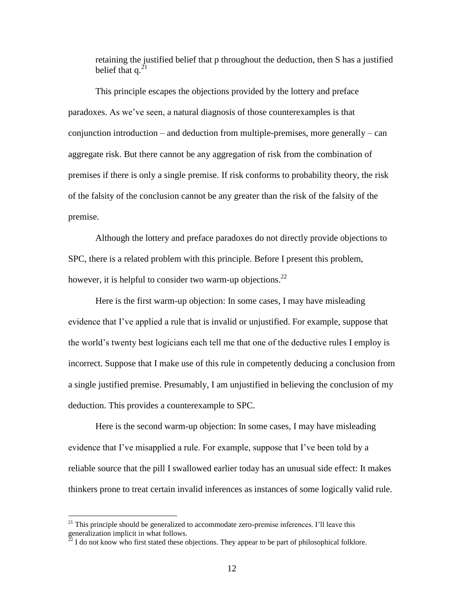retaining the justified belief that p throughout the deduction, then S has a justified belief that  $a^{21}$ 

This principle escapes the objections provided by the lottery and preface paradoxes. As we've seen, a natural diagnosis of those counterexamples is that conjunction introduction – and deduction from multiple-premises, more generally – can aggregate risk. But there cannot be any aggregation of risk from the combination of premises if there is only a single premise. If risk conforms to probability theory, the risk of the falsity of the conclusion cannot be any greater than the risk of the falsity of the premise.

Although the lottery and preface paradoxes do not directly provide objections to SPC, there is a related problem with this principle. Before I present this problem, however, it is helpful to consider two warm-up objections.<sup>22</sup>

Here is the first warm-up objection: In some cases, I may have misleading evidence that I've applied a rule that is invalid or unjustified. For example, suppose that the world's twenty best logicians each tell me that one of the deductive rules I employ is incorrect. Suppose that I make use of this rule in competently deducing a conclusion from a single justified premise. Presumably, I am unjustified in believing the conclusion of my deduction. This provides a counterexample to SPC.

Here is the second warm-up objection: In some cases, I may have misleading evidence that I've misapplied a rule. For example, suppose that I've been told by a reliable source that the pill I swallowed earlier today has an unusual side effect: It makes thinkers prone to treat certain invalid inferences as instances of some logically valid rule.

 $21$  This principle should be generalized to accommodate zero-premise inferences. I'll leave this generalization implicit in what follows.

 $^{22}$  I do not know who first stated these objections. They appear to be part of philosophical folklore.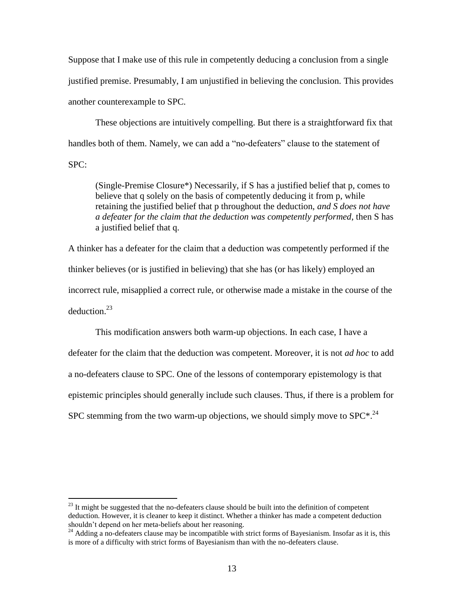Suppose that I make use of this rule in competently deducing a conclusion from a single justified premise. Presumably, I am unjustified in believing the conclusion. This provides another counterexample to SPC.

These objections are intuitively compelling. But there is a straightforward fix that handles both of them. Namely, we can add a "no-defeaters" clause to the statement of SPC:

(Single-Premise Closure\*) Necessarily, if S has a justified belief that p, comes to believe that q solely on the basis of competently deducing it from p, while retaining the justified belief that p throughout the deduction, *and S does not have a defeater for the claim that the deduction was competently performed*, then S has a justified belief that q.

A thinker has a defeater for the claim that a deduction was competently performed if the thinker believes (or is justified in believing) that she has (or has likely) employed an incorrect rule, misapplied a correct rule, or otherwise made a mistake in the course of the deduction. 23

This modification answers both warm-up objections. In each case, I have a defeater for the claim that the deduction was competent. Moreover, it is not *ad hoc* to add a no-defeaters clause to SPC. One of the lessons of contemporary epistemology is that epistemic principles should generally include such clauses. Thus, if there is a problem for SPC stemming from the two warm-up objections, we should simply move to  $SPC^*$ <sup>24</sup>.

 $^{23}$  It might be suggested that the no-defeaters clause should be built into the definition of competent deduction. However, it is cleaner to keep it distinct. Whether a thinker has made a competent deduction shouldn't depend on her meta-beliefs about her reasoning.

 $^{24}$  Adding a no-defeaters clause may be incompatible with strict forms of Bayesianism. Insofar as it is, this is more of a difficulty with strict forms of Bayesianism than with the no-defeaters clause.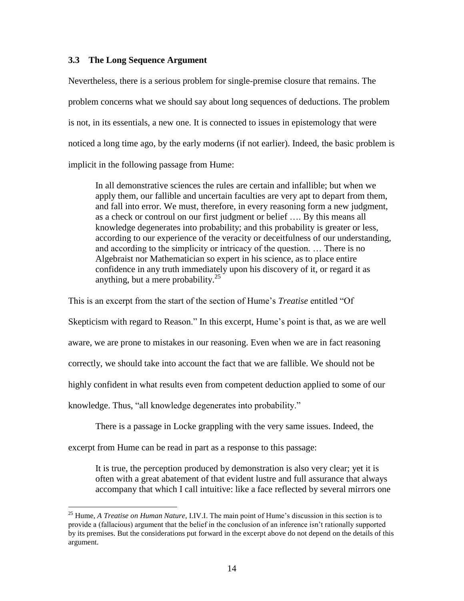#### **3.3 The Long Sequence Argument**

Nevertheless, there is a serious problem for single-premise closure that remains. The problem concerns what we should say about long sequences of deductions. The problem is not, in its essentials, a new one. It is connected to issues in epistemology that were noticed a long time ago, by the early moderns (if not earlier). Indeed, the basic problem is implicit in the following passage from Hume:

In all demonstrative sciences the rules are certain and infallible; but when we apply them, our fallible and uncertain faculties are very apt to depart from them, and fall into error. We must, therefore, in every reasoning form a new judgment, as a check or controul on our first judgment or belief …. By this means all knowledge degenerates into probability; and this probability is greater or less, according to our experience of the veracity or deceitfulness of our understanding, and according to the simplicity or intricacy of the question. … There is no Algebraist nor Mathematician so expert in his science, as to place entire confidence in any truth immediately upon his discovery of it, or regard it as anything, but a mere probability. $25$ 

This is an excerpt from the start of the section of Hume's *Treatise* entitled "Of

Skepticism with regard to Reason." In this excerpt, Hume's point is that, as we are well

aware, we are prone to mistakes in our reasoning. Even when we are in fact reasoning

correctly, we should take into account the fact that we are fallible. We should not be

highly confident in what results even from competent deduction applied to some of our

knowledge. Thus, "all knowledge degenerates into probability."

 $\overline{a}$ 

There is a passage in Locke grappling with the very same issues. Indeed, the

excerpt from Hume can be read in part as a response to this passage:

It is true, the perception produced by demonstration is also very clear; yet it is often with a great abatement of that evident lustre and full assurance that always accompany that which I call intuitive: like a face reflected by several mirrors one

<sup>25</sup> Hume, *A Treatise on Human Nature*, I.IV.I. The main point of Hume's discussion in this section is to provide a (fallacious) argument that the belief in the conclusion of an inference isn't rationally supported by its premises. But the considerations put forward in the excerpt above do not depend on the details of this argument.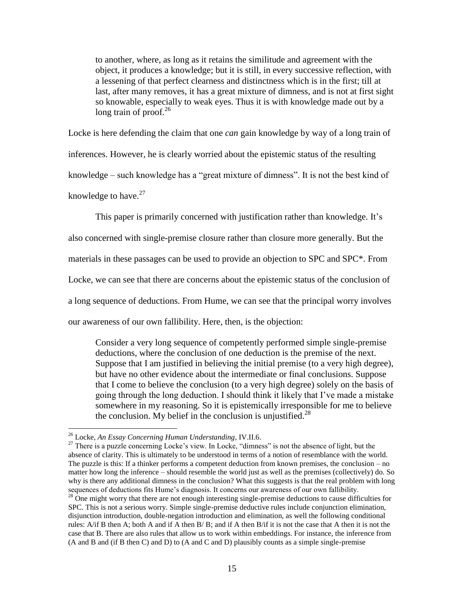to another, where, as long as it retains the similitude and agreement with the object, it produces a knowledge; but it is still, in every successive reflection, with a lessening of that perfect clearness and distinctness which is in the first; till at last, after many removes, it has a great mixture of dimness, and is not at first sight so knowable, especially to weak eyes. Thus it is with knowledge made out by a long train of proof. $26$ 

Locke is here defending the claim that one *can* gain knowledge by way of a long train of inferences. However, he is clearly worried about the epistemic status of the resulting knowledge – such knowledge has a "great mixture of dimness". It is not the best kind of knowledge to have. $27$ 

This paper is primarily concerned with justification rather than knowledge. It's also concerned with single-premise closure rather than closure more generally. But the materials in these passages can be used to provide an objection to SPC and SPC\*. From Locke, we can see that there are concerns about the epistemic status of the conclusion of a long sequence of deductions. From Hume, we can see that the principal worry involves our awareness of our own fallibility. Here, then, is the objection:

Consider a very long sequence of competently performed simple single-premise deductions, where the conclusion of one deduction is the premise of the next. Suppose that I am justified in believing the initial premise (to a very high degree), but have no other evidence about the intermediate or final conclusions. Suppose that I come to believe the conclusion (to a very high degree) solely on the basis of going through the long deduction. I should think it likely that I've made a mistake somewhere in my reasoning. So it is epistemically irresponsible for me to believe the conclusion. My belief in the conclusion is unjustified.<sup>28</sup>

<sup>26</sup> Locke, *An Essay Concerning Human Understanding*, IV.II.6.

<sup>&</sup>lt;sup>27</sup> There is a puzzle concerning Locke's view. In Locke, "dimness" is not the absence of light, but the absence of clarity. This is ultimately to be understood in terms of a notion of resemblance with the world. The puzzle is this: If a thinker performs a competent deduction from known premises, the conclusion – no matter how long the inference – should resemble the world just as well as the premises (collectively) do. So why is there any additional dimness in the conclusion? What this suggests is that the real problem with long sequences of deductions fits Hume's diagnosis. It concerns our awareness of our own fallibility. <sup>28</sup> One might worry that there are not enough interesting single-premise deductions to cause difficulties for SPC. This is not a serious worry. Simple single-premise deductive rules include conjunction elimination, disjunction introduction, double-negation introduction and elimination, as well the following conditional rules: A/if B then A; both A and if A then B/ B; and if A then B/if it is not the case that A then it is not the case that B. There are also rules that allow us to work within embeddings. For instance, the inference from (A and B and (if B then C) and D) to (A and C and D) plausibly counts as a simple single-premise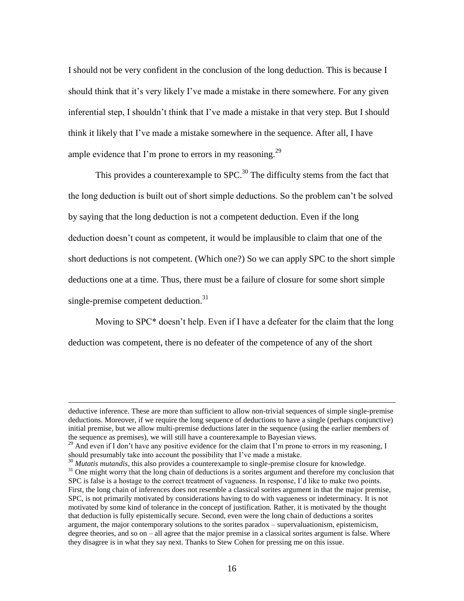I should not be very confident in the conclusion of the long deduction. This is because I should think that it's very likely I've made a mistake in there somewhere. For any given inferential step, I shouldn't think that I've made a mistake in that very step. But I should think it likely that I've made a mistake somewhere in the sequence. After all, I have ample evidence that I'm prone to errors in my reasoning.<sup>29</sup>

This provides a counterexample to  $SPC<sup>30</sup>$ . The difficulty stems from the fact that the long deduction is built out of short simple deductions. So the problem can't be solved by saying that the long deduction is not a competent deduction. Even if the long deduction doesn't count as competent, it would be implausible to claim that one of the short deductions is not competent. (Which one?) So we can apply SPC to the short simple deductions one at a time. Thus, there must be a failure of closure for some short simple single-premise competent deduction.<sup>31</sup>

Moving to SPC\* doesn't help. Even if I have a defeater for the claim that the long deduction was competent, there is no defeater of the competence of any of the short

deductive inference. These are more than sufficient to allow non-trivial sequences of simple single-premise deductions. Moreover, if we require the long sequence of deductions to have a single (perhaps conjunctive) initial premise, but we allow multi-premise deductions later in the sequence (using the earlier members of the sequence as premises), we will still have a counterexample to Bayesian views.

<sup>&</sup>lt;sup>29</sup> And even if I don't have any positive evidence for the claim that I'm prone to errors in my reasoning, I should presumably take into account the possibility that I've made a mistake.

<sup>&</sup>lt;sup>30</sup> *Mutatis mutandis*, this also provides a counterexample to single-premise closure for knowledge.

<sup>&</sup>lt;sup>31</sup> One might worry that the long chain of deductions is a sorites argument and therefore my conclusion that SPC is false is a hostage to the correct treatment of vagueness. In response, I'd like to make two points. First, the long chain of inferences does not resemble a classical sorites argument in that the major premise, SPC, is not primarily motivated by considerations having to do with vagueness or indeterminacy. It is not motivated by some kind of tolerance in the concept of justification. Rather, it is motivated by the thought that deduction is fully epistemically secure. Second, even were the long chain of deductions a sorites argument, the major contemporary solutions to the sorites paradox – supervaluationism, epistemicism, degree theories, and so on – all agree that the major premise in a classical sorites argument is false. Where they disagree is in what they say next. Thanks to Stew Cohen for pressing me on this issue.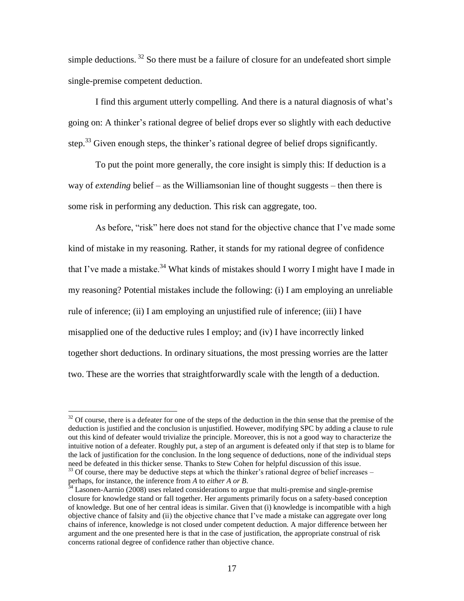simple deductions.  $32$  So there must be a failure of closure for an undefeated short simple single-premise competent deduction.

I find this argument utterly compelling. And there is a natural diagnosis of what's going on: A thinker's rational degree of belief drops ever so slightly with each deductive step.<sup>33</sup> Given enough steps, the thinker's rational degree of belief drops significantly.

To put the point more generally, the core insight is simply this: If deduction is a way of *extending* belief – as the Williamsonian line of thought suggests – then there is some risk in performing any deduction. This risk can aggregate, too.

As before, "risk" here does not stand for the objective chance that I've made some kind of mistake in my reasoning. Rather, it stands for my rational degree of confidence that I've made a mistake.<sup>34</sup> What kinds of mistakes should I worry I might have I made in my reasoning? Potential mistakes include the following: (i) I am employing an unreliable rule of inference; (ii) I am employing an unjustified rule of inference; (iii) I have misapplied one of the deductive rules I employ; and (iv) I have incorrectly linked together short deductions. In ordinary situations, the most pressing worries are the latter two. These are the worries that straightforwardly scale with the length of a deduction.

 $32$  Of course, there is a defeater for one of the steps of the deduction in the thin sense that the premise of the deduction is justified and the conclusion is unjustified. However, modifying SPC by adding a clause to rule out this kind of defeater would trivialize the principle. Moreover, this is not a good way to characterize the intuitive notion of a defeater. Roughly put, a step of an argument is defeated only if that step is to blame for the lack of justification for the conclusion. In the long sequence of deductions, none of the individual steps need be defeated in this thicker sense. Thanks to Stew Cohen for helpful discussion of this issue.  $33$  Of course, there may be deductive steps at which the thinker's rational degree of belief increases –

perhaps, for instance, the inference from *A* to *either A or B*.

 $34$  Lasonen-Aarnio (2008) uses related considerations to argue that multi-premise and single-premise closure for knowledge stand or fall together. Her arguments primarily focus on a safety-based conception of knowledge. But one of her central ideas is similar. Given that (i) knowledge is incompatible with a high objective chance of falsity and (ii) the objective chance that I've made a mistake can aggregate over long chains of inference, knowledge is not closed under competent deduction. A major difference between her argument and the one presented here is that in the case of justification, the appropriate construal of risk concerns rational degree of confidence rather than objective chance.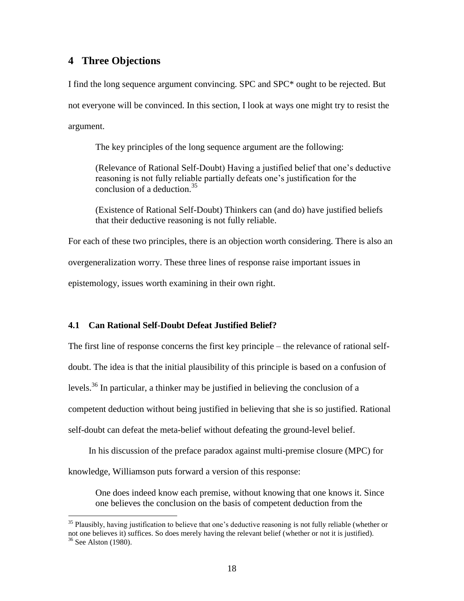# **4 Three Objections**

 $\overline{a}$ 

I find the long sequence argument convincing. SPC and SPC\* ought to be rejected. But not everyone will be convinced. In this section, I look at ways one might try to resist the argument.

The key principles of the long sequence argument are the following:

(Relevance of Rational Self-Doubt) Having a justified belief that one's deductive reasoning is not fully reliable partially defeats one's justification for the conclusion of a deduction.<sup>35</sup>

(Existence of Rational Self-Doubt) Thinkers can (and do) have justified beliefs that their deductive reasoning is not fully reliable.

For each of these two principles, there is an objection worth considering. There is also an overgeneralization worry. These three lines of response raise important issues in epistemology, issues worth examining in their own right.

### **4.1 Can Rational Self-Doubt Defeat Justified Belief?**

The first line of response concerns the first key principle – the relevance of rational selfdoubt. The idea is that the initial plausibility of this principle is based on a confusion of levels.<sup>36</sup> In particular, a thinker may be justified in believing the conclusion of a competent deduction without being justified in believing that she is so justified. Rational self-doubt can defeat the meta-belief without defeating the ground-level belief.

In his discussion of the preface paradox against multi-premise closure (MPC) for knowledge, Williamson puts forward a version of this response:

One does indeed know each premise, without knowing that one knows it. Since one believes the conclusion on the basis of competent deduction from the

<sup>&</sup>lt;sup>35</sup> Plausibly, having justification to believe that one's deductive reasoning is not fully reliable (whether or not one believes it) suffices. So does merely having the relevant belief (whether or not it is justified).  $36$  See Alston (1980).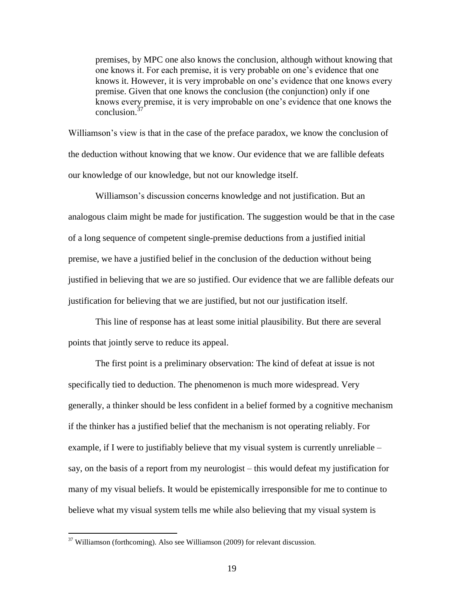premises, by MPC one also knows the conclusion, although without knowing that one knows it. For each premise, it is very probable on one's evidence that one knows it. However, it is very improbable on one's evidence that one knows every premise. Given that one knows the conclusion (the conjunction) only if one knows every premise, it is very improbable on one's evidence that one knows the conclusion.<sup>37</sup>

Williamson's view is that in the case of the preface paradox, we know the conclusion of the deduction without knowing that we know. Our evidence that we are fallible defeats our knowledge of our knowledge, but not our knowledge itself.

Williamson's discussion concerns knowledge and not justification. But an analogous claim might be made for justification. The suggestion would be that in the case of a long sequence of competent single-premise deductions from a justified initial premise, we have a justified belief in the conclusion of the deduction without being justified in believing that we are so justified. Our evidence that we are fallible defeats our justification for believing that we are justified, but not our justification itself.

This line of response has at least some initial plausibility. But there are several points that jointly serve to reduce its appeal.

The first point is a preliminary observation: The kind of defeat at issue is not specifically tied to deduction. The phenomenon is much more widespread. Very generally, a thinker should be less confident in a belief formed by a cognitive mechanism if the thinker has a justified belief that the mechanism is not operating reliably. For example, if I were to justifiably believe that my visual system is currently unreliable – say, on the basis of a report from my neurologist – this would defeat my justification for many of my visual beliefs. It would be epistemically irresponsible for me to continue to believe what my visual system tells me while also believing that my visual system is

<sup>&</sup>lt;sup>37</sup> Williamson (forthcoming). Also see Williamson (2009) for relevant discussion.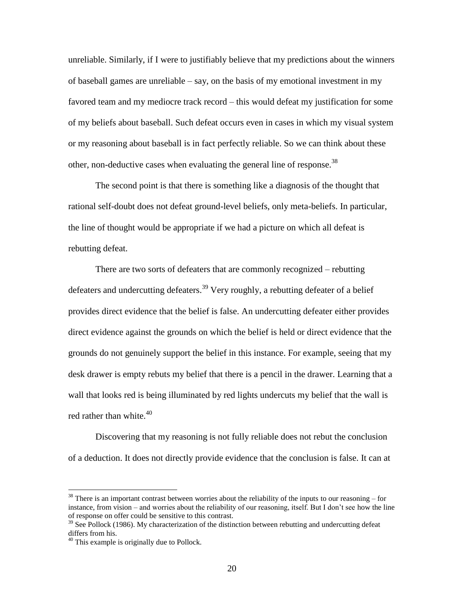unreliable. Similarly, if I were to justifiably believe that my predictions about the winners of baseball games are unreliable – say, on the basis of my emotional investment in my favored team and my mediocre track record – this would defeat my justification for some of my beliefs about baseball. Such defeat occurs even in cases in which my visual system or my reasoning about baseball is in fact perfectly reliable. So we can think about these other, non-deductive cases when evaluating the general line of response.<sup>38</sup>

The second point is that there is something like a diagnosis of the thought that rational self-doubt does not defeat ground-level beliefs, only meta-beliefs. In particular, the line of thought would be appropriate if we had a picture on which all defeat is rebutting defeat.

There are two sorts of defeaters that are commonly recognized – rebutting defeaters and undercutting defeaters.<sup>39</sup> Very roughly, a rebutting defeater of a belief provides direct evidence that the belief is false. An undercutting defeater either provides direct evidence against the grounds on which the belief is held or direct evidence that the grounds do not genuinely support the belief in this instance. For example, seeing that my desk drawer is empty rebuts my belief that there is a pencil in the drawer. Learning that a wall that looks red is being illuminated by red lights undercuts my belief that the wall is red rather than white. 40

Discovering that my reasoning is not fully reliable does not rebut the conclusion of a deduction. It does not directly provide evidence that the conclusion is false. It can at

 $38$  There is an important contrast between worries about the reliability of the inputs to our reasoning – for instance, from vision – and worries about the reliability of our reasoning, itself. But I don't see how the line of response on offer could be sensitive to this contrast.

<sup>&</sup>lt;sup>39</sup> See Pollock (1986). My characterization of the distinction between rebutting and undercutting defeat differs from his.

 $40$  This example is originally due to Pollock.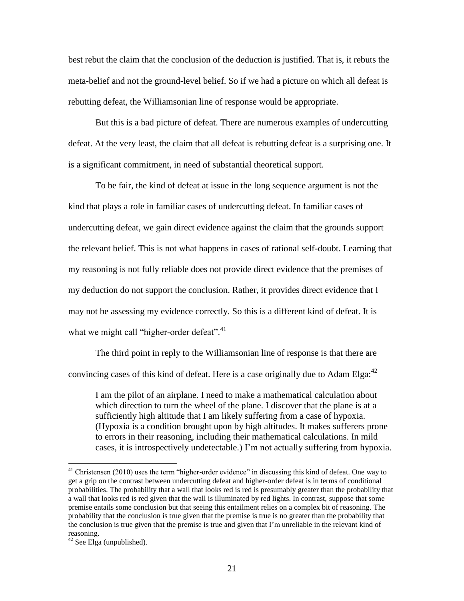best rebut the claim that the conclusion of the deduction is justified. That is, it rebuts the meta-belief and not the ground-level belief. So if we had a picture on which all defeat is rebutting defeat, the Williamsonian line of response would be appropriate.

But this is a bad picture of defeat. There are numerous examples of undercutting defeat. At the very least, the claim that all defeat is rebutting defeat is a surprising one. It is a significant commitment, in need of substantial theoretical support.

To be fair, the kind of defeat at issue in the long sequence argument is not the kind that plays a role in familiar cases of undercutting defeat. In familiar cases of undercutting defeat, we gain direct evidence against the claim that the grounds support the relevant belief. This is not what happens in cases of rational self-doubt. Learning that my reasoning is not fully reliable does not provide direct evidence that the premises of my deduction do not support the conclusion. Rather, it provides direct evidence that I may not be assessing my evidence correctly. So this is a different kind of defeat. It is what we might call "higher-order defeat".<sup>41</sup>

The third point in reply to the Williamsonian line of response is that there are convincing cases of this kind of defeat. Here is a case originally due to Adam Elga:  $42$ 

I am the pilot of an airplane. I need to make a mathematical calculation about which direction to turn the wheel of the plane. I discover that the plane is at a sufficiently high altitude that I am likely suffering from a case of hypoxia. (Hypoxia is a condition brought upon by high altitudes. It makes sufferers prone to errors in their reasoning, including their mathematical calculations. In mild cases, it is introspectively undetectable.) I'm not actually suffering from hypoxia.

<sup>&</sup>lt;sup>41</sup> Christensen (2010) uses the term "higher-order evidence" in discussing this kind of defeat. One way to get a grip on the contrast between undercutting defeat and higher-order defeat is in terms of conditional probabilities. The probability that a wall that looks red is red is presumably greater than the probability that a wall that looks red is red given that the wall is illuminated by red lights. In contrast, suppose that some premise entails some conclusion but that seeing this entailment relies on a complex bit of reasoning. The probability that the conclusion is true given that the premise is true is no greater than the probability that the conclusion is true given that the premise is true and given that I'm unreliable in the relevant kind of reasoning.

 $42$  See Elga (unpublished).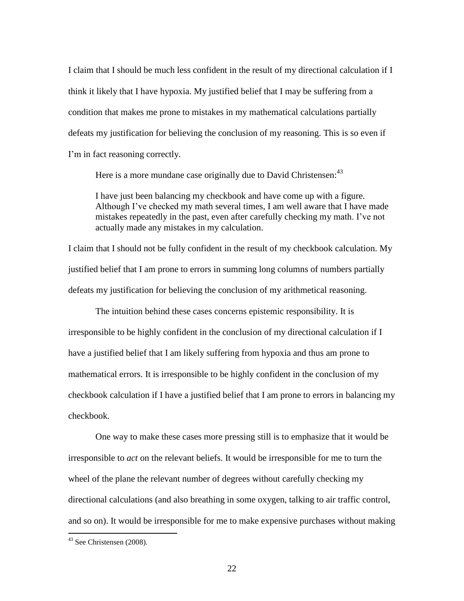I claim that I should be much less confident in the result of my directional calculation if I think it likely that I have hypoxia. My justified belief that I may be suffering from a condition that makes me prone to mistakes in my mathematical calculations partially defeats my justification for believing the conclusion of my reasoning. This is so even if I'm in fact reasoning correctly.

Here is a more mundane case originally due to David Christensen:<sup>43</sup>

I have just been balancing my checkbook and have come up with a figure. Although I've checked my math several times, I am well aware that I have made mistakes repeatedly in the past, even after carefully checking my math. I've not actually made any mistakes in my calculation.

I claim that I should not be fully confident in the result of my checkbook calculation. My justified belief that I am prone to errors in summing long columns of numbers partially defeats my justification for believing the conclusion of my arithmetical reasoning.

The intuition behind these cases concerns epistemic responsibility. It is irresponsible to be highly confident in the conclusion of my directional calculation if I have a justified belief that I am likely suffering from hypoxia and thus am prone to mathematical errors. It is irresponsible to be highly confident in the conclusion of my checkbook calculation if I have a justified belief that I am prone to errors in balancing my checkbook.

One way to make these cases more pressing still is to emphasize that it would be irresponsible to *act* on the relevant beliefs. It would be irresponsible for me to turn the wheel of the plane the relevant number of degrees without carefully checking my directional calculations (and also breathing in some oxygen, talking to air traffic control, and so on). It would be irresponsible for me to make expensive purchases without making

 $43$  See Christensen (2008).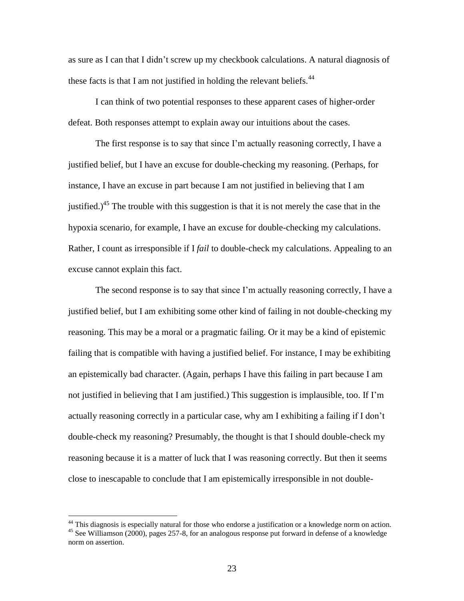as sure as I can that I didn't screw up my checkbook calculations. A natural diagnosis of these facts is that I am not justified in holding the relevant beliefs. $^{44}$ 

I can think of two potential responses to these apparent cases of higher-order defeat. Both responses attempt to explain away our intuitions about the cases.

The first response is to say that since I'm actually reasoning correctly, I have a justified belief, but I have an excuse for double-checking my reasoning. (Perhaps, for instance, I have an excuse in part because I am not justified in believing that I am justified.)<sup>45</sup> The trouble with this suggestion is that it is not merely the case that in the hypoxia scenario, for example, I have an excuse for double-checking my calculations. Rather, I count as irresponsible if I *fail* to double-check my calculations. Appealing to an excuse cannot explain this fact.

The second response is to say that since I'm actually reasoning correctly, I have a justified belief, but I am exhibiting some other kind of failing in not double-checking my reasoning. This may be a moral or a pragmatic failing. Or it may be a kind of epistemic failing that is compatible with having a justified belief. For instance, I may be exhibiting an epistemically bad character. (Again, perhaps I have this failing in part because I am not justified in believing that I am justified.) This suggestion is implausible, too. If I'm actually reasoning correctly in a particular case, why am I exhibiting a failing if I don't double-check my reasoning? Presumably, the thought is that I should double-check my reasoning because it is a matter of luck that I was reasoning correctly. But then it seems close to inescapable to conclude that I am epistemically irresponsible in not double-

<sup>&</sup>lt;sup>44</sup> This diagnosis is especially natural for those who endorse a justification or a knowledge norm on action. <sup>45</sup> See Williamson (2000), pages 257-8, for an analogous response put forward in defense of a knowledge norm on assertion.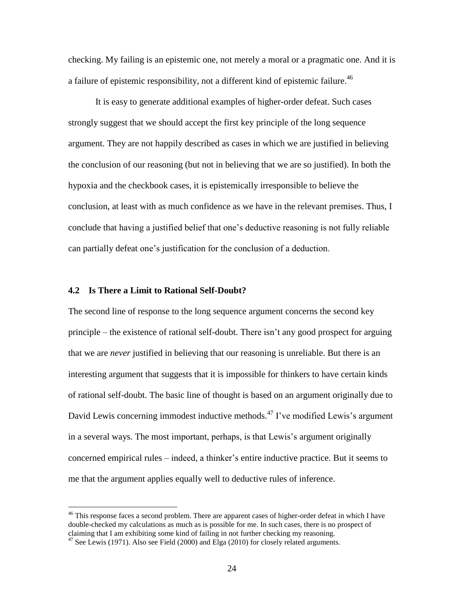checking. My failing is an epistemic one, not merely a moral or a pragmatic one. And it is a failure of epistemic responsibility, not a different kind of epistemic failure.<sup>46</sup>

It is easy to generate additional examples of higher-order defeat. Such cases strongly suggest that we should accept the first key principle of the long sequence argument. They are not happily described as cases in which we are justified in believing the conclusion of our reasoning (but not in believing that we are so justified). In both the hypoxia and the checkbook cases, it is epistemically irresponsible to believe the conclusion, at least with as much confidence as we have in the relevant premises. Thus, I conclude that having a justified belief that one's deductive reasoning is not fully reliable can partially defeat one's justification for the conclusion of a deduction.

#### **4.2 Is There a Limit to Rational Self-Doubt?**

 $\overline{a}$ 

The second line of response to the long sequence argument concerns the second key principle – the existence of rational self-doubt. There isn't any good prospect for arguing that we are *never* justified in believing that our reasoning is unreliable. But there is an interesting argument that suggests that it is impossible for thinkers to have certain kinds of rational self-doubt. The basic line of thought is based on an argument originally due to David Lewis concerning immodest inductive methods.<sup>47</sup> I've modified Lewis's argument in a several ways. The most important, perhaps, is that Lewis's argument originally concerned empirical rules – indeed, a thinker's entire inductive practice. But it seems to me that the argument applies equally well to deductive rules of inference.

<sup>&</sup>lt;sup>46</sup> This response faces a second problem. There are apparent cases of higher-order defeat in which I have double-checked my calculations as much as is possible for me. In such cases, there is no prospect of claiming that I am exhibiting some kind of failing in not further checking my reasoning.

 $47$  See Lewis (1971). Also see Field (2000) and Elga (2010) for closely related arguments.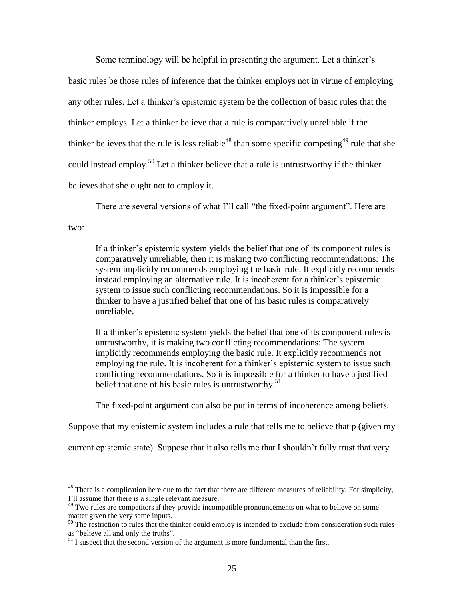Some terminology will be helpful in presenting the argument. Let a thinker's basic rules be those rules of inference that the thinker employs not in virtue of employing any other rules. Let a thinker's epistemic system be the collection of basic rules that the thinker employs. Let a thinker believe that a rule is comparatively unreliable if the thinker believes that the rule is less reliable<sup>48</sup> than some specific competing<sup>49</sup> rule that she could instead employ. <sup>50</sup> Let a thinker believe that a rule is untrustworthy if the thinker believes that she ought not to employ it.

There are several versions of what I'll call "the fixed-point argument". Here are

two:

 $\overline{a}$ 

If a thinker's epistemic system yields the belief that one of its component rules is comparatively unreliable, then it is making two conflicting recommendations: The system implicitly recommends employing the basic rule. It explicitly recommends instead employing an alternative rule. It is incoherent for a thinker's epistemic system to issue such conflicting recommendations. So it is impossible for a thinker to have a justified belief that one of his basic rules is comparatively unreliable.

If a thinker's epistemic system yields the belief that one of its component rules is untrustworthy, it is making two conflicting recommendations: The system implicitly recommends employing the basic rule. It explicitly recommends not employing the rule. It is incoherent for a thinker's epistemic system to issue such conflicting recommendations. So it is impossible for a thinker to have a justified belief that one of his basic rules is untrustworthy.<sup>51</sup>

The fixed-point argument can also be put in terms of incoherence among beliefs.

Suppose that my epistemic system includes a rule that tells me to believe that p (given my

current epistemic state). Suppose that it also tells me that I shouldn't fully trust that very

 $48$  There is a complication here due to the fact that there are different measures of reliability. For simplicity, I'll assume that there is a single relevant measure.

<sup>&</sup>lt;sup>49</sup> Two rules are competitors if they provide incompatible pronouncements on what to believe on some matter given the very same inputs.

 $50$  The restriction to rules that the thinker could employ is intended to exclude from consideration such rules as "believe all and only the truths".

 $<sup>51</sup>$  I suspect that the second version of the argument is more fundamental than the first.</sup>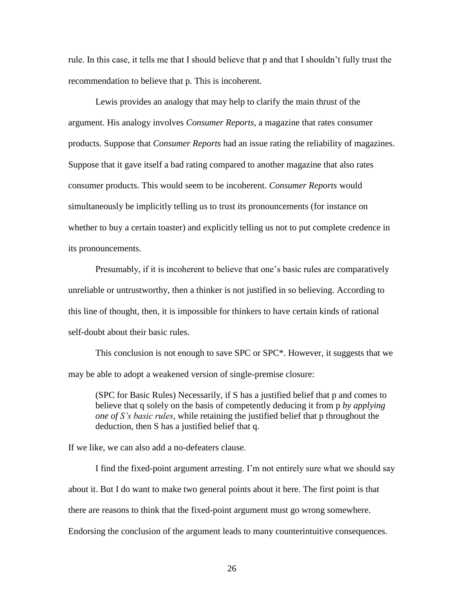rule. In this case, it tells me that I should believe that p and that I shouldn't fully trust the recommendation to believe that p. This is incoherent.

Lewis provides an analogy that may help to clarify the main thrust of the argument. His analogy involves *Consumer Reports*, a magazine that rates consumer products. Suppose that *Consumer Reports* had an issue rating the reliability of magazines. Suppose that it gave itself a bad rating compared to another magazine that also rates consumer products. This would seem to be incoherent. *Consumer Reports* would simultaneously be implicitly telling us to trust its pronouncements (for instance on whether to buy a certain toaster) and explicitly telling us not to put complete credence in its pronouncements.

Presumably, if it is incoherent to believe that one's basic rules are comparatively unreliable or untrustworthy, then a thinker is not justified in so believing. According to this line of thought, then, it is impossible for thinkers to have certain kinds of rational self-doubt about their basic rules.

This conclusion is not enough to save SPC or SPC\*. However, it suggests that we may be able to adopt a weakened version of single-premise closure:

(SPC for Basic Rules) Necessarily, if S has a justified belief that p and comes to believe that q solely on the basis of competently deducing it from p *by applying one of S's basic rules*, while retaining the justified belief that p throughout the deduction, then S has a justified belief that q.

If we like, we can also add a no-defeaters clause.

I find the fixed-point argument arresting. I'm not entirely sure what we should say about it. But I do want to make two general points about it here. The first point is that there are reasons to think that the fixed-point argument must go wrong somewhere. Endorsing the conclusion of the argument leads to many counterintuitive consequences.

26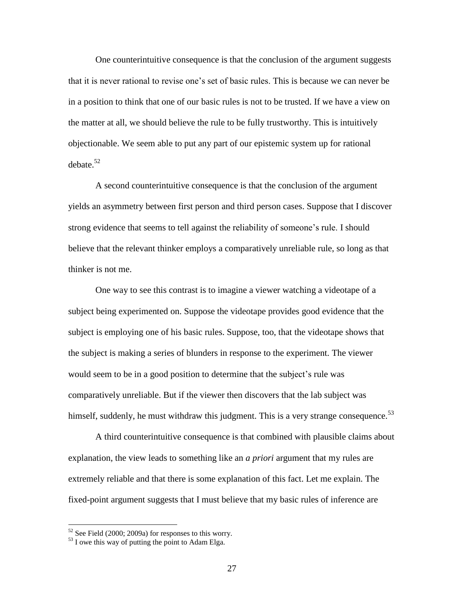One counterintuitive consequence is that the conclusion of the argument suggests that it is never rational to revise one's set of basic rules. This is because we can never be in a position to think that one of our basic rules is not to be trusted. If we have a view on the matter at all, we should believe the rule to be fully trustworthy. This is intuitively objectionable. We seem able to put any part of our epistemic system up for rational  $debate.<sup>52</sup>$ 

A second counterintuitive consequence is that the conclusion of the argument yields an asymmetry between first person and third person cases. Suppose that I discover strong evidence that seems to tell against the reliability of someone's rule. I should believe that the relevant thinker employs a comparatively unreliable rule, so long as that thinker is not me.

One way to see this contrast is to imagine a viewer watching a videotape of a subject being experimented on. Suppose the videotape provides good evidence that the subject is employing one of his basic rules. Suppose, too, that the videotape shows that the subject is making a series of blunders in response to the experiment. The viewer would seem to be in a good position to determine that the subject's rule was comparatively unreliable. But if the viewer then discovers that the lab subject was himself, suddenly, he must withdraw this judgment. This is a very strange consequence.  $53$ 

A third counterintuitive consequence is that combined with plausible claims about explanation, the view leads to something like an *a priori* argument that my rules are extremely reliable and that there is some explanation of this fact. Let me explain. The fixed-point argument suggests that I must believe that my basic rules of inference are

 $52$  See Field (2000; 2009a) for responses to this worry.

 $53$  I owe this way of putting the point to Adam Elga.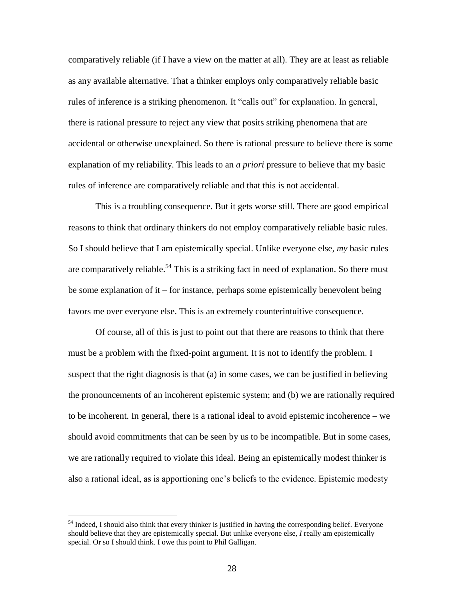comparatively reliable (if I have a view on the matter at all). They are at least as reliable as any available alternative. That a thinker employs only comparatively reliable basic rules of inference is a striking phenomenon. It "calls out" for explanation. In general, there is rational pressure to reject any view that posits striking phenomena that are accidental or otherwise unexplained. So there is rational pressure to believe there is some explanation of my reliability. This leads to an *a priori* pressure to believe that my basic rules of inference are comparatively reliable and that this is not accidental.

This is a troubling consequence. But it gets worse still. There are good empirical reasons to think that ordinary thinkers do not employ comparatively reliable basic rules. So I should believe that I am epistemically special. Unlike everyone else, *my* basic rules are comparatively reliable.<sup>54</sup> This is a striking fact in need of explanation. So there must be some explanation of it – for instance, perhaps some epistemically benevolent being favors me over everyone else. This is an extremely counterintuitive consequence.

Of course, all of this is just to point out that there are reasons to think that there must be a problem with the fixed-point argument. It is not to identify the problem. I suspect that the right diagnosis is that (a) in some cases, we can be justified in believing the pronouncements of an incoherent epistemic system; and (b) we are rationally required to be incoherent. In general, there is a rational ideal to avoid epistemic incoherence – we should avoid commitments that can be seen by us to be incompatible. But in some cases, we are rationally required to violate this ideal. Being an epistemically modest thinker is also a rational ideal, as is apportioning one's beliefs to the evidence. Epistemic modesty

<sup>&</sup>lt;sup>54</sup> Indeed, I should also think that every thinker is justified in having the corresponding belief. Everyone should believe that they are epistemically special. But unlike everyone else, *I* really am epistemically special. Or so I should think. I owe this point to Phil Galligan.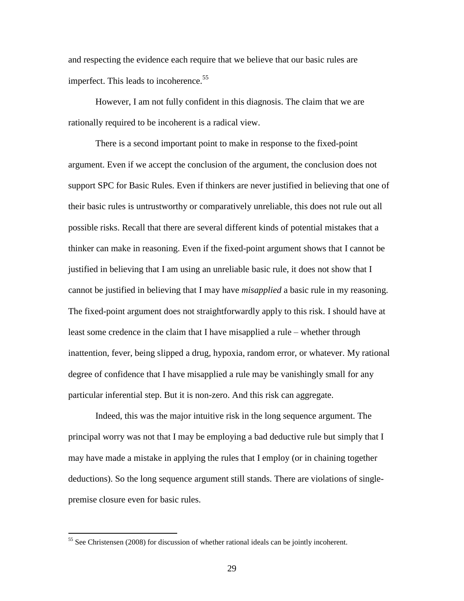and respecting the evidence each require that we believe that our basic rules are imperfect. This leads to incoherence.<sup>55</sup>

However, I am not fully confident in this diagnosis. The claim that we are rationally required to be incoherent is a radical view.

There is a second important point to make in response to the fixed-point argument. Even if we accept the conclusion of the argument, the conclusion does not support SPC for Basic Rules. Even if thinkers are never justified in believing that one of their basic rules is untrustworthy or comparatively unreliable, this does not rule out all possible risks. Recall that there are several different kinds of potential mistakes that a thinker can make in reasoning. Even if the fixed-point argument shows that I cannot be justified in believing that I am using an unreliable basic rule, it does not show that I cannot be justified in believing that I may have *misapplied* a basic rule in my reasoning. The fixed-point argument does not straightforwardly apply to this risk. I should have at least some credence in the claim that I have misapplied a rule – whether through inattention, fever, being slipped a drug, hypoxia, random error, or whatever. My rational degree of confidence that I have misapplied a rule may be vanishingly small for any particular inferential step. But it is non-zero. And this risk can aggregate.

Indeed, this was the major intuitive risk in the long sequence argument. The principal worry was not that I may be employing a bad deductive rule but simply that I may have made a mistake in applying the rules that I employ (or in chaining together deductions). So the long sequence argument still stands. There are violations of singlepremise closure even for basic rules.

<sup>&</sup>lt;sup>55</sup> See Christensen (2008) for discussion of whether rational ideals can be jointly incoherent.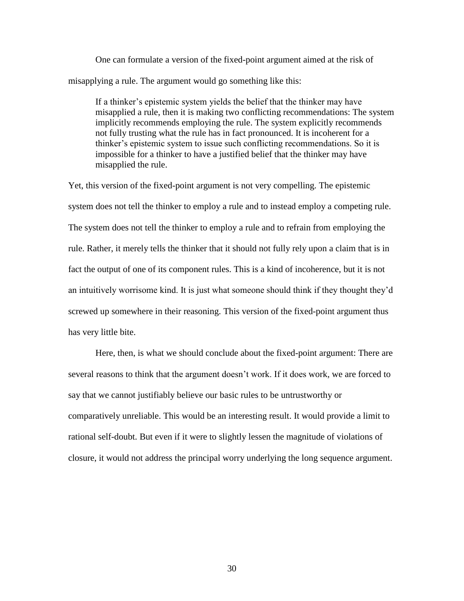One can formulate a version of the fixed-point argument aimed at the risk of misapplying a rule. The argument would go something like this:

If a thinker's epistemic system yields the belief that the thinker may have misapplied a rule, then it is making two conflicting recommendations: The system implicitly recommends employing the rule. The system explicitly recommends not fully trusting what the rule has in fact pronounced. It is incoherent for a thinker's epistemic system to issue such conflicting recommendations. So it is impossible for a thinker to have a justified belief that the thinker may have misapplied the rule.

Yet, this version of the fixed-point argument is not very compelling. The epistemic system does not tell the thinker to employ a rule and to instead employ a competing rule. The system does not tell the thinker to employ a rule and to refrain from employing the rule. Rather, it merely tells the thinker that it should not fully rely upon a claim that is in fact the output of one of its component rules. This is a kind of incoherence, but it is not an intuitively worrisome kind. It is just what someone should think if they thought they'd screwed up somewhere in their reasoning. This version of the fixed-point argument thus has very little bite.

Here, then, is what we should conclude about the fixed-point argument: There are several reasons to think that the argument doesn't work. If it does work, we are forced to say that we cannot justifiably believe our basic rules to be untrustworthy or comparatively unreliable. This would be an interesting result. It would provide a limit to rational self-doubt. But even if it were to slightly lessen the magnitude of violations of closure, it would not address the principal worry underlying the long sequence argument.

30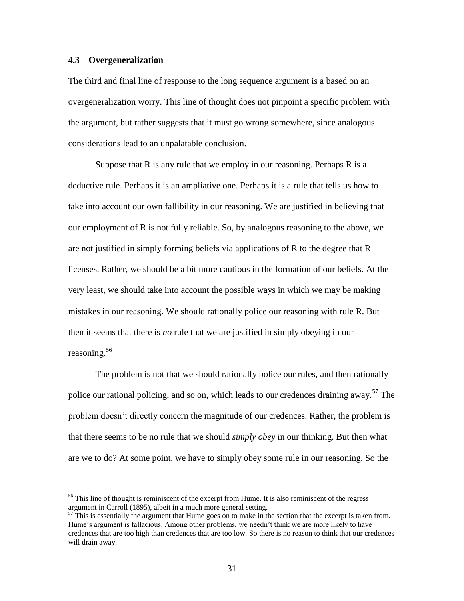#### **4.3 Overgeneralization**

 $\overline{a}$ 

The third and final line of response to the long sequence argument is a based on an overgeneralization worry. This line of thought does not pinpoint a specific problem with the argument, but rather suggests that it must go wrong somewhere, since analogous considerations lead to an unpalatable conclusion.

Suppose that R is any rule that we employ in our reasoning. Perhaps R is a deductive rule. Perhaps it is an ampliative one. Perhaps it is a rule that tells us how to take into account our own fallibility in our reasoning. We are justified in believing that our employment of R is not fully reliable. So, by analogous reasoning to the above, we are not justified in simply forming beliefs via applications of R to the degree that R licenses. Rather, we should be a bit more cautious in the formation of our beliefs. At the very least, we should take into account the possible ways in which we may be making mistakes in our reasoning. We should rationally police our reasoning with rule R. But then it seems that there is *no* rule that we are justified in simply obeying in our reasoning.<sup>56</sup>

The problem is not that we should rationally police our rules, and then rationally police our rational policing, and so on, which leads to our credences draining away.<sup>57</sup> The problem doesn't directly concern the magnitude of our credences. Rather, the problem is that there seems to be no rule that we should *simply obey* in our thinking. But then what are we to do? At some point, we have to simply obey some rule in our reasoning. So the

 $56$  This line of thought is reminiscent of the excerpt from Hume. It is also reminiscent of the regress argument in Carroll (1895), albeit in a much more general setting.

 $\frac{57}{2}$  This is essentially the argument that Hume goes on to make in the section that the excerpt is taken from. Hume's argument is fallacious. Among other problems, we needn't think we are more likely to have credences that are too high than credences that are too low. So there is no reason to think that our credences will drain away.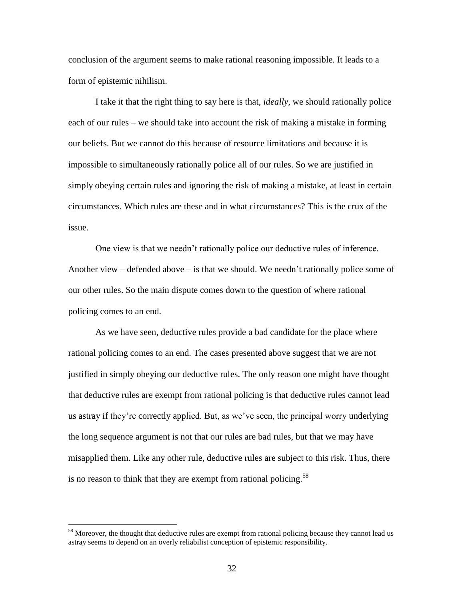conclusion of the argument seems to make rational reasoning impossible. It leads to a form of epistemic nihilism.

I take it that the right thing to say here is that, *ideally*, we should rationally police each of our rules – we should take into account the risk of making a mistake in forming our beliefs. But we cannot do this because of resource limitations and because it is impossible to simultaneously rationally police all of our rules. So we are justified in simply obeying certain rules and ignoring the risk of making a mistake, at least in certain circumstances. Which rules are these and in what circumstances? This is the crux of the issue.

One view is that we needn't rationally police our deductive rules of inference. Another view – defended above – is that we should. We needn't rationally police some of our other rules. So the main dispute comes down to the question of where rational policing comes to an end.

As we have seen, deductive rules provide a bad candidate for the place where rational policing comes to an end. The cases presented above suggest that we are not justified in simply obeying our deductive rules. The only reason one might have thought that deductive rules are exempt from rational policing is that deductive rules cannot lead us astray if they're correctly applied. But, as we've seen, the principal worry underlying the long sequence argument is not that our rules are bad rules, but that we may have misapplied them. Like any other rule, deductive rules are subject to this risk. Thus, there is no reason to think that they are exempt from rational policing.<sup>58</sup>

 $58$  Moreover, the thought that deductive rules are exempt from rational policing because they cannot lead us astray seems to depend on an overly reliabilist conception of epistemic responsibility.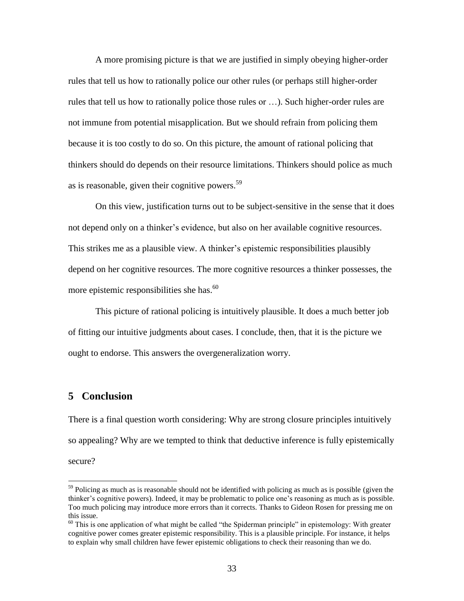A more promising picture is that we are justified in simply obeying higher-order rules that tell us how to rationally police our other rules (or perhaps still higher-order rules that tell us how to rationally police those rules or …). Such higher-order rules are not immune from potential misapplication. But we should refrain from policing them because it is too costly to do so. On this picture, the amount of rational policing that thinkers should do depends on their resource limitations. Thinkers should police as much as is reasonable, given their cognitive powers.<sup>59</sup>

On this view, justification turns out to be subject-sensitive in the sense that it does not depend only on a thinker's evidence, but also on her available cognitive resources. This strikes me as a plausible view. A thinker's epistemic responsibilities plausibly depend on her cognitive resources. The more cognitive resources a thinker possesses, the more epistemic responsibilities she has.<sup>60</sup>

This picture of rational policing is intuitively plausible. It does a much better job of fitting our intuitive judgments about cases. I conclude, then, that it is the picture we ought to endorse. This answers the overgeneralization worry.

#### **5 Conclusion**

 $\overline{a}$ 

There is a final question worth considering: Why are strong closure principles intuitively so appealing? Why are we tempted to think that deductive inference is fully epistemically secure?

 $59$  Policing as much as is reasonable should not be identified with policing as much as is possible (given the thinker's cognitive powers). Indeed, it may be problematic to police one's reasoning as much as is possible. Too much policing may introduce more errors than it corrects. Thanks to Gideon Rosen for pressing me on this issue.

 $60$  This is one application of what might be called "the Spiderman principle" in epistemology: With greater cognitive power comes greater epistemic responsibility. This is a plausible principle. For instance, it helps to explain why small children have fewer epistemic obligations to check their reasoning than we do.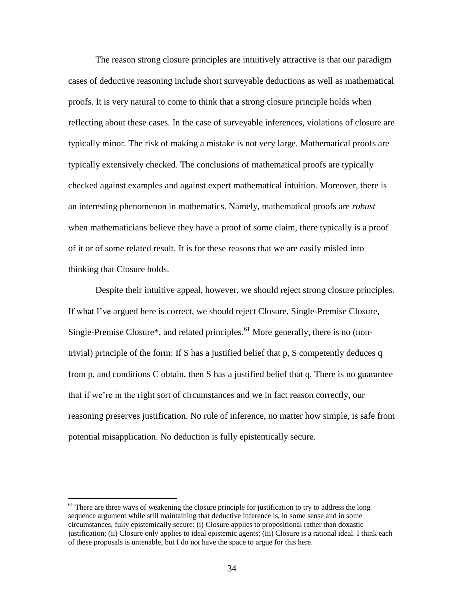The reason strong closure principles are intuitively attractive is that our paradigm cases of deductive reasoning include short surveyable deductions as well as mathematical proofs. It is very natural to come to think that a strong closure principle holds when reflecting about these cases. In the case of surveyable inferences, violations of closure are typically minor. The risk of making a mistake is not very large. Mathematical proofs are typically extensively checked. The conclusions of mathematical proofs are typically checked against examples and against expert mathematical intuition. Moreover, there is an interesting phenomenon in mathematics. Namely, mathematical proofs are *robust* – when mathematicians believe they have a proof of some claim, there typically is a proof of it or of some related result. It is for these reasons that we are easily misled into thinking that Closure holds.

Despite their intuitive appeal, however, we should reject strong closure principles. If what I've argued here is correct, we should reject Closure, Single-Premise Closure, Single-Premise Closure\*, and related principles.<sup>61</sup> More generally, there is no (nontrivial) principle of the form: If S has a justified belief that p, S competently deduces q from p, and conditions C obtain, then S has a justified belief that q. There is no guarantee that if we're in the right sort of circumstances and we in fact reason correctly, our reasoning preserves justification. No rule of inference, no matter how simple, is safe from potential misapplication. No deduction is fully epistemically secure.

 $61$  There are three ways of weakening the closure principle for justification to try to address the long sequence argument while still maintaining that deductive inference is, in some sense and in some circumstances, fully epistemically secure: (i) Closure applies to propositional rather than doxastic justification; (ii) Closure only applies to ideal epistemic agents; (iii) Closure is a rational ideal. I think each of these proposals is untenable, but I do not have the space to argue for this here.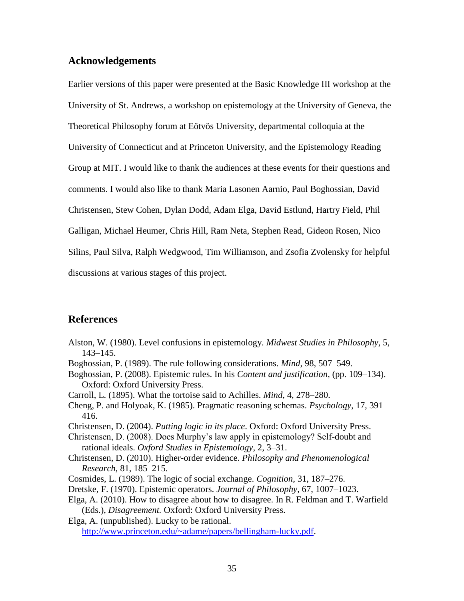# **Acknowledgements**

Earlier versions of this paper were presented at the Basic Knowledge III workshop at the University of St. Andrews, a workshop on epistemology at the University of Geneva, the Theoretical Philosophy forum at Eötvös University, departmental colloquia at the University of Connecticut and at Princeton University, and the Epistemology Reading Group at MIT. I would like to thank the audiences at these events for their questions and comments. I would also like to thank Maria Lasonen Aarnio, Paul Boghossian, David Christensen, Stew Cohen, Dylan Dodd, Adam Elga, David Estlund, Hartry Field, Phil Galligan, Michael Heumer, Chris Hill, Ram Neta, Stephen Read, Gideon Rosen, Nico Silins, Paul Silva, Ralph Wedgwood, Tim Williamson, and Zsofia Zvolensky for helpful discussions at various stages of this project.

#### **References**

- Alston, W. (1980). Level confusions in epistemology. *Midwest Studies in Philosophy*, 5, 143–145.
- Boghossian, P. (1989). The rule following considerations. *Mind*, 98, 507–549.
- Boghossian, P. (2008). Epistemic rules. In his *Content and justification*, (pp. 109–134). Oxford: Oxford University Press.
- Carroll, L. (1895). What the tortoise said to Achilles. *Mind*, 4, 278–280.
- Cheng, P. and Holyoak, K. (1985). Pragmatic reasoning schemas. *Psychology*, 17, 391– 416.
- Christensen, D. (2004). *Putting logic in its place*. Oxford: Oxford University Press.
- Christensen, D. (2008). Does Murphy's law apply in epistemology? Self-doubt and rational ideals. *Oxford Studies in Epistemology*, 2, 3–31.
- Christensen, D. (2010). Higher-order evidence. *Philosophy and Phenomenological Research*, 81, 185–215.
- Cosmides, L. (1989). The logic of social exchange. *Cognition*, 31, 187–276.
- Dretske, F. (1970). Epistemic operators. *Journal of Philosophy*, 67, 1007–1023.
- Elga, A. (2010). How to disagree about how to disagree. In R. Feldman and T. Warfield (Eds.), *Disagreement.* Oxford: Oxford University Press.
- Elga, A. (unpublished). Lucky to be rational.

[http://www.princeton.edu/~adame/papers/bellingham-lucky.pdf.](http://www.princeton.edu/~adame/papers/bellingham-lucky.pdf)